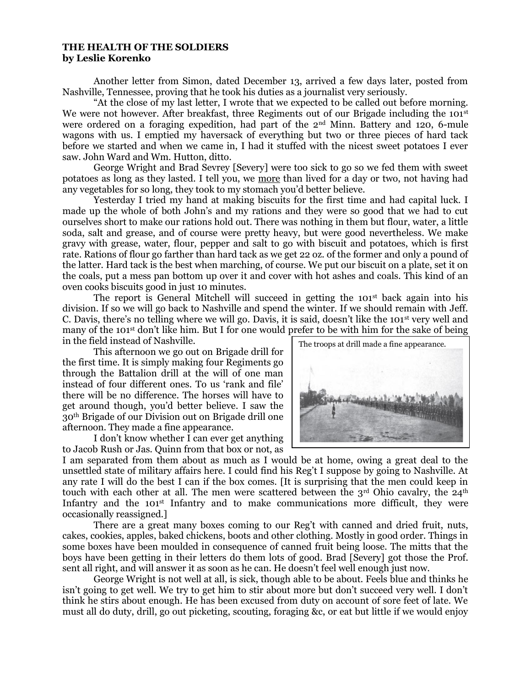## **THE HEALTH OF THE SOLDIERS by Leslie Korenko**

Another letter from Simon, dated December 13, arrived a few days later, posted from Nashville, Tennessee, proving that he took his duties as a journalist very seriously.

"At the close of my last letter, I wrote that we expected to be called out before morning. We were not however. After breakfast, three Regiments out of our Brigade including the 101<sup>st</sup> were ordered on a foraging expedition, had part of the 2<sup>nd</sup> Minn. Battery and 120, 6-mule wagons with us. I emptied my haversack of everything but two or three pieces of hard tack before we started and when we came in, I had it stuffed with the nicest sweet potatoes I ever saw. John Ward and Wm. Hutton, ditto.

George Wright and Brad Sevrey [Severy] were too sick to go so we fed them with sweet potatoes as long as they lasted. I tell you, we more than lived for a day or two, not having had any vegetables for so long, they took to my stomach you'd better believe.

Yesterday I tried my hand at making biscuits for the first time and had capital luck. I made up the whole of both John's and my rations and they were so good that we had to cut ourselves short to make our rations hold out. There was nothing in them but flour, water, a little soda, salt and grease, and of course were pretty heavy, but were good nevertheless. We make gravy with grease, water, flour, pepper and salt to go with biscuit and potatoes, which is first rate. Rations of flour go farther than hard tack as we get 22 oz. of the former and only a pound of the latter. Hard tack is the best when marching, of course. We put our biscuit on a plate, set it on the coals, put a mess pan bottom up over it and cover with hot ashes and coals. This kind of an oven cooks biscuits good in just 10 minutes.

The report is General Mitchell will succeed in getting the  $101<sup>st</sup>$  back again into his division. If so we will go back to Nashville and spend the winter. If we should remain with Jeff. C. Davis, there's no telling where we will go. Davis, it is said, doesn't like the 101st very well and many of the 101<sup>st</sup> don't like him. But I for one would prefer to be with him for the sake of being in the field instead of Nashville.

This afternoon we go out on Brigade drill for the first time. It is simply making four Regiments go through the Battalion drill at the will of one man instead of four different ones. To us 'rank and file' there will be no difference. The horses will have to get around though, you'd better believe. I saw the 30th Brigade of our Division out on Brigade drill one afternoon. They made a fine appearance.

I don't know whether I can ever get anything to Jacob Rush or Jas. Quinn from that box or not, as

I am separated from them about as much as I would be at home, owing a great deal to the unsettled state of military affairs here. I could find his Reg't I suppose by going to Nashville. At any rate I will do the best I can if the box comes. [It is surprising that the men could keep in touch with each other at all. The men were scattered between the  $3<sup>rd</sup>$  Ohio cavalry, the  $24<sup>th</sup>$ Infantry and the 101<sup>st</sup> Infantry and to make communications more difficult, they were occasionally reassigned.]

There are a great many boxes coming to our Reg't with canned and dried fruit, nuts, cakes, cookies, apples, baked chickens, boots and other clothing. Mostly in good order. Things in some boxes have been moulded in consequence of canned fruit being loose. The mitts that the boys have been getting in their letters do them lots of good. Brad [Severy] got those the Prof. sent all right, and will answer it as soon as he can. He doesn't feel well enough just now.

George Wright is not well at all, is sick, though able to be about. Feels blue and thinks he isn't going to get well. We try to get him to stir about more but don't succeed very well. I don't think he stirs about enough. He has been excused from duty on account of sore feet of late. We must all do duty, drill, go out picketing, scouting, foraging &c, or eat but little if we would enjoy